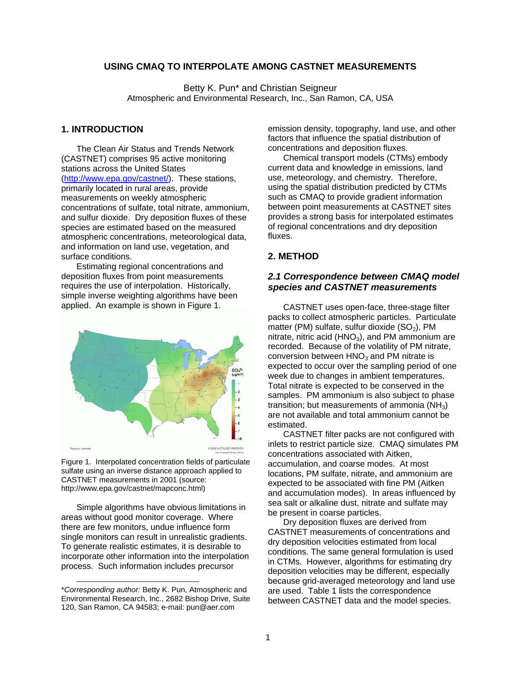# **USING CMAQ TO INTERPOLATE AMONG CASTNET MEASUREMENTS**

Betty K. Pun\* and Christian Seigneur Atmospheric and Environmental Research, Inc., San Ramon, CA, USA

### **1. INTRODUCTION**

The Clean Air Status and Trends Network (CASTNET) comprises 95 active monitoring stations across the United States (http://www.epa.gov/castnet/). These stations, primarily located in rural areas, provide measurements on weekly atmospheric concentrations of sulfate, total nitrate, ammonium, and sulfur dioxide. Dry deposition fluxes of these species are estimated based on the measured atmospheric concentrations, meteorological data, and information on land use, vegetation, and surface conditions.

Estimating regional concentrations and deposition fluxes from point measurements requires the use of interpolation. Historically, simple inverse weighting algorithms have been applied. An example is shown in Figure 1.



Figure 1. Interpolated concentration fields of particulate sulfate using an inverse distance approach applied to CASTNET measurements in 2001 (source: http://www.epa.gov/castnet/mapconc.html)

Simple algorithms have obvious limitations in areas without good monitor coverage. Where there are few monitors, undue influence form single monitors can result in unrealistic gradients. To generate realistic estimates, it is desirable to incorporate other information into the interpolation process. Such information includes precursor

l

emission density, topography, land use, and other factors that influence the spatial distribution of concentrations and deposition fluxes.

Chemical transport models (CTMs) embody current data and knowledge in emissions, land use, meteorology, and chemistry. Therefore, using the spatial distribution predicted by CTMs such as CMAQ to provide gradient information between point measurements at CASTNET sites provides a strong basis for interpolated estimates of regional concentrations and dry deposition fluxes.

#### **2. METHOD**

# *2.1 Correspondence between CMAQ model species and CASTNET measurements*

CASTNET uses open-face, three-stage filter packs to collect atmospheric particles. Particulate matter (PM) sulfate, sulfur dioxide  $(SO<sub>2</sub>)$ , PM nitrate, nitric acid ( $HNO<sub>3</sub>$ ), and PM ammonium are recorded. Because of the volatility of PM nitrate, conversion between  $HNO<sub>3</sub>$  and PM nitrate is expected to occur over the sampling period of one week due to changes in ambient temperatures. Total nitrate is expected to be conserved in the samples. PM ammonium is also subject to phase transition; but measurements of ammonia  $(NH_3)$ are not available and total ammonium cannot be estimated.

CASTNET filter packs are not configured with inlets to restrict particle size. CMAQ simulates PM concentrations associated with Aitken, accumulation, and coarse modes. At most locations, PM sulfate, nitrate, and ammonium are expected to be associated with fine PM (Aitken and accumulation modes). In areas influenced by sea salt or alkaline dust, nitrate and sulfate may be present in coarse particles.

Dry deposition fluxes are derived from CASTNET measurements of concentrations and dry deposition velocities estimated from local conditions. The same general formulation is used in CTMs. However, algorithms for estimating dry deposition velocities may be different, especially because grid-averaged meteorology and land use are used. Table 1 lists the correspondence between CASTNET data and the model species.

<sup>\*</sup>*Corresponding author:* Betty K. Pun, Atmospheric and Environmental Research, Inc., 2682 Bishop Drive, Suite 120, San Ramon, CA 94583; e-mail: pun@aer.com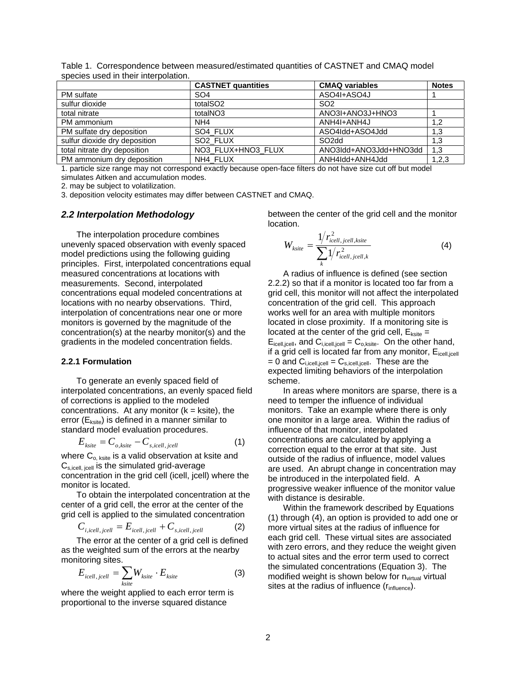|                               | <b>CASTNET quantities</b> | <b>CMAQ variables</b>  | <b>Notes</b> |
|-------------------------------|---------------------------|------------------------|--------------|
| PM sulfate                    | SO <sub>4</sub>           | ASO4I+ASO4J            |              |
| sulfur dioxide                | totalSO <sub>2</sub>      | SO <sub>2</sub>        |              |
| total nitrate                 | totalNO3                  | ANO3I+ANO3J+HNO3       |              |
| PM ammonium                   | NH <sub>4</sub>           | ANH4I+ANH4J            | 1,2          |
| PM sulfate dry deposition     | SO4 FLUX                  | ASO4Idd+ASO4Jdd        | 1,3          |
| sulfur dioxide dry deposition | SO <sub>2</sub> FLUX      | SO <sub>2dd</sub>      | 1,3          |
| total nitrate dry deposition  | NO3 FLUX+HNO3 FLUX        | ANO3Idd+ANO3Jdd+HNO3dd | 1,3          |
| PM ammonium dry deposition    | NH4 FLUX                  | ANH4Idd+ANH4Jdd        | 1,2,3        |

Table 1. Correspondence between measured/estimated quantities of CASTNET and CMAQ model species used in their interpolation.

1. particle size range may not correspond exactly because open-face filters do not have size cut off but model simulates Aitken and accumulation modes.

2. may be subject to volatilization.

3. deposition velocity estimates may differ between CASTNET and CMAQ.

#### *2.2 Interpolation Methodology*

The interpolation procedure combines unevenly spaced observation with evenly spaced model predictions using the following guiding principles. First, interpolated concentrations equal measured concentrations at locations with measurements. Second, interpolated concentrations equal modeled concentrations at locations with no nearby observations. Third, interpolation of concentrations near one or more monitors is governed by the magnitude of the concentration(s) at the nearby monitor(s) and the gradients in the modeled concentration fields.

#### **2.2.1 Formulation**

To generate an evenly spaced field of interpolated concentrations, an evenly spaced field of corrections is applied to the modeled concentrations. At any monitor  $(k = k$ site), the error  $(E_{\text{ksite}})$  is defined in a manner similar to standard model evaluation procedures.

$$
E_{\text{ksite}} = C_{o,\text{ksite}} - C_{s,\text{icell},\text{jcell}} \tag{1}
$$

where  $C_{o, ksite}$  is a valid observation at ksite and  $C_{s,icell, icell}$  is the simulated grid-average concentration in the grid cell (icell, jcell) where the monitor is located.

To obtain the interpolated concentration at the center of a grid cell, the error at the center of the grid cell is applied to the simulated concentration

$$
C_{i, icell, jcell} = E_{icell, jcell} + C_{s, icell, jcell}
$$
 (2)

The error at the center of a grid cell is defined as the weighted sum of the errors at the nearby monitoring sites.

$$
E_{icell, jcell} = \sum_{ksite} W_{ksite} \cdot E_{ksite}
$$
 (3)

where the weight applied to each error term is proportional to the inverse squared distance

between the center of the grid cell and the monitor location.

$$
W_{ksite} = \frac{1/r_{icell,jcell,ksite}}{\sum_{k} 1/r_{icell,jcell,k}^2}
$$
 (4)

A radius of influence is defined (see section 2.2.2) so that if a monitor is located too far from a grid cell, this monitor will not affect the interpolated concentration of the grid cell. This approach works well for an area with multiple monitors located in close proximity. If a monitoring site is located at the center of the grid cell,  $E_{\text{ksite}} =$  $E_{\text{icell, cell}}$ , and  $C_{\text{i.cell, cell}} = C_{\text{o.ksite}}$ . On the other hand, if a grid cell is located far from any monitor,  $E_{\text{icell,iceIII}}$  $= 0$  and  $C_{i,icell,jcell} = C_{s,icell,jcell}$ . These are the expected limiting behaviors of the interpolation scheme.

In areas where monitors are sparse, there is a need to temper the influence of individual monitors. Take an example where there is only one monitor in a large area. Within the radius of influence of that monitor, interpolated concentrations are calculated by applying a correction equal to the error at that site. Just outside of the radius of influence, model values are used. An abrupt change in concentration may be introduced in the interpolated field. A progressive weaker influence of the monitor value with distance is desirable.

Within the framework described by Equations (1) through (4), an option is provided to add one or more virtual sites at the radius of influence for each grid cell. These virtual sites are associated with zero errors, and they reduce the weight given to actual sites and the error term used to correct the simulated concentrations (Equation 3). The modified weight is shown below for  $n_{virtual}$  virtual sites at the radius of influence  $(r<sub>influence</sub>)$ .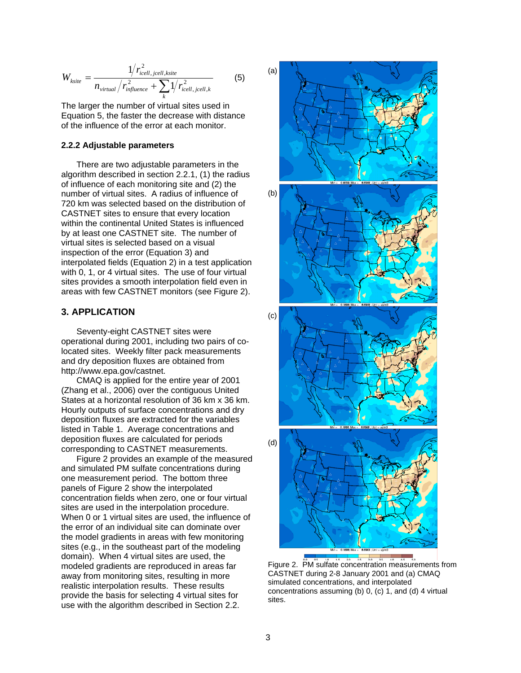$$
W_{ksite} = \frac{1/r_{icell,icell,ksite}}{n_{virtual}/r_{influence}^2 + \sum_{k} 1/r_{icell,icell,k}^2}
$$
(5)

The larger the number of virtual sites used in Equation 5, the faster the decrease with distance of the influence of the error at each monitor.

#### **2.2.2 Adjustable parameters**

There are two adjustable parameters in the algorithm described in section 2.2.1, (1) the radius of influence of each monitoring site and (2) the number of virtual sites. A radius of influence of 720 km was selected based on the distribution of CASTNET sites to ensure that every location within the continental United States is influenced by at least one CASTNET site. The number of virtual sites is selected based on a visual inspection of the error (Equation 3) and interpolated fields (Equation 2) in a test application with 0, 1, or 4 virtual sites. The use of four virtual sites provides a smooth interpolation field even in areas with few CASTNET monitors (see Figure 2).

### **3. APPLICATION**

Seventy-eight CASTNET sites were operational during 2001, including two pairs of colocated sites. Weekly filter pack measurements and dry deposition fluxes are obtained from http://www.epa.gov/castnet.

CMAQ is applied for the entire year of 2001 (Zhang et al., 2006) over the contiguous United States at a horizontal resolution of 36 km x 36 km. Hourly outputs of surface concentrations and dry deposition fluxes are extracted for the variables listed in Table 1. Average concentrations and deposition fluxes are calculated for periods corresponding to CASTNET measurements.

Figure 2 provides an example of the measured and simulated PM sulfate concentrations during one measurement period. The bottom three panels of Figure 2 show the interpolated concentration fields when zero, one or four virtual sites are used in the interpolation procedure. When 0 or 1 virtual sites are used, the influence of the error of an individual site can dominate over the model gradients in areas with few monitoring sites (e.g., in the southeast part of the modeling domain). When 4 virtual sites are used, the modeled gradients are reproduced in areas far away from monitoring sites, resulting in more realistic interpolation results. These results provide the basis for selecting 4 virtual sites for use with the algorithm described in Section 2.2.



Figure 2. PM sulfate concentration measurements from CASTNET during 2-8 January 2001 and (a) CMAQ simulated concentrations, and interpolated concentrations assuming (b) 0, (c) 1, and (d) 4 virtual sites.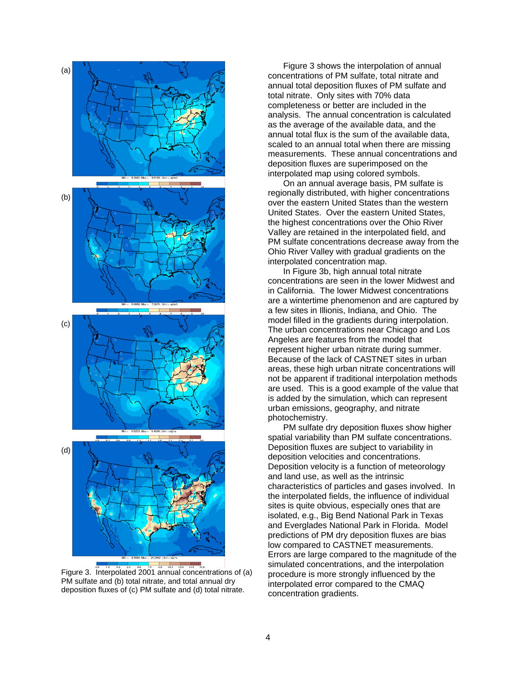

Figure 3. Interpolated 2001 annual concentrations of (a) PM sulfate and (b) total nitrate, and total annual dry deposition fluxes of (c) PM sulfate and (d) total nitrate.

Figure 3 shows the interpolation of annual concentrations of PM sulfate, total nitrate and annual total deposition fluxes of PM sulfate and total nitrate. Only sites with 70% data completeness or better are included in the analysis. The annual concentration is calculated as the average of the available data, and the annual total flux is the sum of the available data, scaled to an annual total when there are missing measurements. These annual concentrations and deposition fluxes are superimposed on the interpolated map using colored symbols.

On an annual average basis, PM sulfate is regionally distributed, with higher concentrations over the eastern United States than the western United States. Over the eastern United States, the highest concentrations over the Ohio River Valley are retained in the interpolated field, and PM sulfate concentrations decrease away from the Ohio River Valley with gradual gradients on the interpolated concentration map.

In Figure 3b, high annual total nitrate concentrations are seen in the lower Midwest and in California. The lower Midwest concentrations are a wintertime phenomenon and are captured by a few sites in Illionis, Indiana, and Ohio. The model filled in the gradients during interpolation. The urban concentrations near Chicago and Los Angeles are features from the model that represent higher urban nitrate during summer. Because of the lack of CASTNET sites in urban areas, these high urban nitrate concentrations will not be apparent if traditional interpolation methods are used. This is a good example of the value that is added by the simulation, which can represent urban emissions, geography, and nitrate photochemistry.

PM sulfate dry deposition fluxes show higher spatial variability than PM sulfate concentrations. Deposition fluxes are subject to variability in deposition velocities and concentrations. Deposition velocity is a function of meteorology and land use, as well as the intrinsic characteristics of particles and gases involved. In the interpolated fields, the influence of individual sites is quite obvious, especially ones that are isolated, e.g., Big Bend National Park in Texas and Everglades National Park in Florida. Model predictions of PM dry deposition fluxes are bias low compared to CASTNET measurements. Errors are large compared to the magnitude of the simulated concentrations, and the interpolation procedure is more strongly influenced by the interpolated error compared to the CMAQ concentration gradients.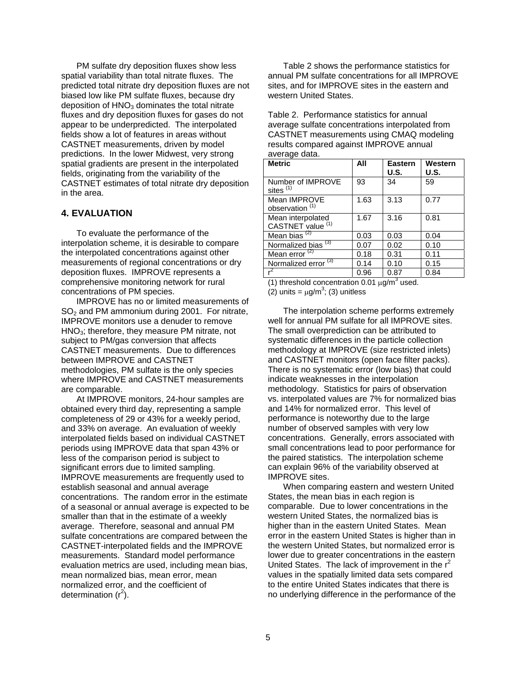PM sulfate dry deposition fluxes show less spatial variability than total nitrate fluxes. The predicted total nitrate dry deposition fluxes are not biased low like PM sulfate fluxes, because dry deposition of  $HNO<sub>3</sub>$  dominates the total nitrate fluxes and dry deposition fluxes for gases do not appear to be underpredicted. The interpolated fields show a lot of features in areas without CASTNET measurements, driven by model predictions. In the lower Midwest, very strong spatial gradients are present in the interpolated fields, originating from the variability of the CASTNET estimates of total nitrate dry deposition in the area.

### **4. EVALUATION**

To evaluate the performance of the interpolation scheme, it is desirable to compare the interpolated concentrations against other measurements of regional concentrations or dry deposition fluxes. IMPROVE represents a comprehensive monitoring network for rural concentrations of PM species.

IMPROVE has no or limited measurements of  $SO<sub>2</sub>$  and PM ammonium during 2001. For nitrate, IMPROVE monitors use a denuder to remove HNO3; therefore, they measure PM nitrate, not subject to PM/gas conversion that affects CASTNET measurements. Due to differences between IMPROVE and CASTNET methodologies, PM sulfate is the only species where IMPROVE and CASTNET measurements are comparable.

At IMPROVE monitors, 24-hour samples are obtained every third day, representing a sample completeness of 29 or 43% for a weekly period, and 33% on average. An evaluation of weekly interpolated fields based on individual CASTNET periods using IMPROVE data that span 43% or less of the comparison period is subject to significant errors due to limited sampling. IMPROVE measurements are frequently used to establish seasonal and annual average concentrations. The random error in the estimate of a seasonal or annual average is expected to be smaller than that in the estimate of a weekly average. Therefore, seasonal and annual PM sulfate concentrations are compared between the CASTNET-interpolated fields and the IMPROVE measurements. Standard model performance evaluation metrics are used, including mean bias, mean normalized bias, mean error, mean normalized error, and the coefficient of determination  $(r^2)$ .

Table 2 shows the performance statistics for annual PM sulfate concentrations for all IMPROVE sites, and for IMPROVE sites in the eastern and western United States.

Table 2. Performance statistics for annual average sulfate concentrations interpolated from CASTNET measurements using CMAQ modeling results compared against IMPROVE annual average data.

| <b>Metric</b>                              | All  | <b>Eastern</b><br>U.S. | Western<br>U.S. |
|--------------------------------------------|------|------------------------|-----------------|
| Number of IMPROVE<br>sites $(1)$           | 93   | 34                     | 59              |
| Mean IMPROVE<br>observation <sup>(1)</sup> | 1.63 | 3.13                   | 0.77            |
| Mean interpolated<br>CASTNET value (1)     | 1.67 | 3.16                   | 0.81            |
| Mean bias $(2)$                            | 0.03 | 0.03                   | 0.04            |
| Normalized bias <sup>(3)</sup>             | 0.07 | 0.02                   | 0.10            |
| Mean error $(2)$                           | 0.18 | 0.31                   | 0.11            |
| Normalized error <sup>(3)</sup>            | 0.14 | 0.10                   | 0.15            |
|                                            | 0.96 | 0.87                   | 0.84            |

(1) threshold concentration 0.01  $\mu$ g/m<sup>3</sup> used.

(2) units =  $\mu$ g/m<sup>3</sup>; (3) unitless

The interpolation scheme performs extremely well for annual PM sulfate for all IMPROVE sites. The small overprediction can be attributed to systematic differences in the particle collection methodology at IMPROVE (size restricted inlets) and CASTNET monitors (open face filter packs). There is no systematic error (low bias) that could indicate weaknesses in the interpolation methodology. Statistics for pairs of observation vs. interpolated values are 7% for normalized bias and 14% for normalized error. This level of performance is noteworthy due to the large number of observed samples with very low concentrations. Generally, errors associated with small concentrations lead to poor performance for the paired statistics. The interpolation scheme can explain 96% of the variability observed at IMPROVE sites.

When comparing eastern and western United States, the mean bias in each region is comparable. Due to lower concentrations in the western United States, the normalized bias is higher than in the eastern United States. Mean error in the eastern United States is higher than in the western United States, but normalized error is lower due to greater concentrations in the eastern United States. The lack of improvement in the  $r^2$ values in the spatially limited data sets compared to the entire United States indicates that there is no underlying difference in the performance of the